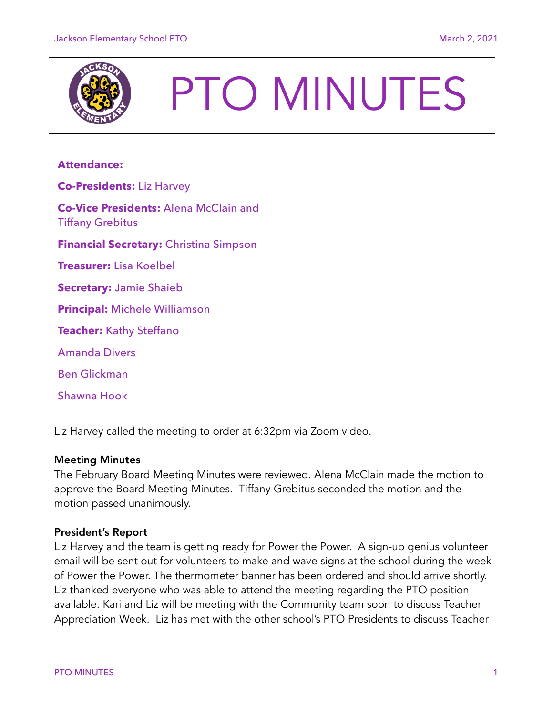

# PTO MINUTES

# **Attendance:**

**Co-Presidents:** Liz Harvey **Co-Vice Presidents:** Alena McClain and Tiffany Grebitus **Financial Secretary:** Christina Simpson **Treasurer:** Lisa Koelbel **Secretary:** Jamie Shaieb **Principal:** Michele Williamson **Teacher:** Kathy Steffano Amanda Divers Ben Glickman Shawna Hook

Liz Harvey called the meeting to order at 6:32pm via Zoom video.

### Meeting Minutes

The February Board Meeting Minutes were reviewed. Alena McClain made the motion to approve the Board Meeting Minutes. Tiffany Grebitus seconded the motion and the motion passed unanimously.

### President's Report

Liz Harvey and the team is getting ready for Power the Power. A sign-up genius volunteer email will be sent out for volunteers to make and wave signs at the school during the week of Power the Power. The thermometer banner has been ordered and should arrive shortly. Liz thanked everyone who was able to attend the meeting regarding the PTO position available. Kari and Liz will be meeting with the Community team soon to discuss Teacher Appreciation Week. Liz has met with the other school's PTO Presidents to discuss Teacher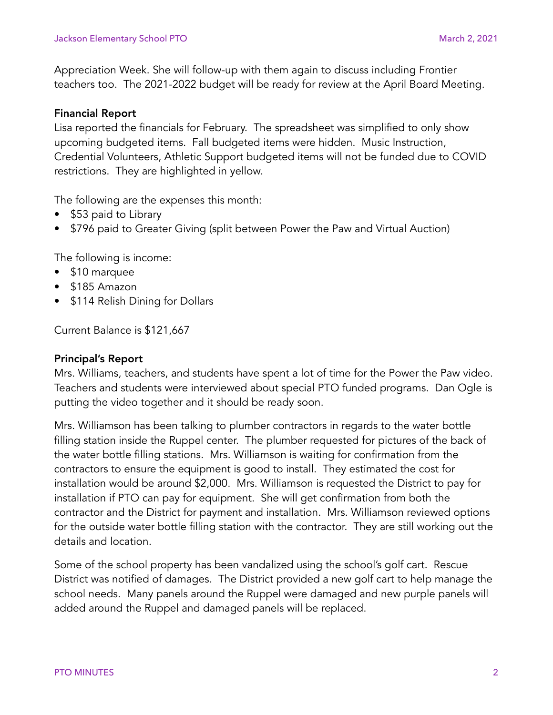Appreciation Week. She will follow-up with them again to discuss including Frontier teachers too. The 2021-2022 budget will be ready for review at the April Board Meeting.

## Financial Report

Lisa reported the financials for February. The spreadsheet was simplified to only show upcoming budgeted items. Fall budgeted items were hidden. Music Instruction, Credential Volunteers, Athletic Support budgeted items will not be funded due to COVID restrictions. They are highlighted in yellow.

The following are the expenses this month:

- \$53 paid to Library
- \$796 paid to Greater Giving (split between Power the Paw and Virtual Auction)

The following is income:

- \$10 marquee
- \$185 Amazon
- \$114 Relish Dining for Dollars

Current Balance is \$121,667

### Principal's Report

Mrs. Williams, teachers, and students have spent a lot of time for the Power the Paw video. Teachers and students were interviewed about special PTO funded programs. Dan Ogle is putting the video together and it should be ready soon.

Mrs. Williamson has been talking to plumber contractors in regards to the water bottle filling station inside the Ruppel center. The plumber requested for pictures of the back of the water bottle filling stations. Mrs. Williamson is waiting for confirmation from the contractors to ensure the equipment is good to install. They estimated the cost for installation would be around \$2,000. Mrs. Williamson is requested the District to pay for installation if PTO can pay for equipment. She will get confirmation from both the contractor and the District for payment and installation. Mrs. Williamson reviewed options for the outside water bottle filling station with the contractor. They are still working out the details and location.

Some of the school property has been vandalized using the school's golf cart. Rescue District was notified of damages. The District provided a new golf cart to help manage the school needs. Many panels around the Ruppel were damaged and new purple panels will added around the Ruppel and damaged panels will be replaced.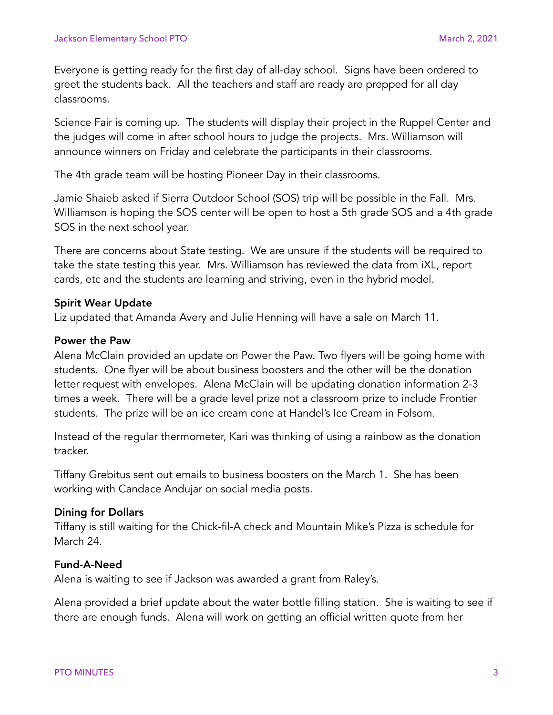Everyone is getting ready for the first day of all-day school. Signs have been ordered to greet the students back. All the teachers and staff are ready are prepped for all day classrooms.

Science Fair is coming up. The students will display their project in the Ruppel Center and the judges will come in after school hours to judge the projects. Mrs. Williamson will announce winners on Friday and celebrate the participants in their classrooms.

The 4th grade team will be hosting Pioneer Day in their classrooms.

Jamie Shaieb asked if Sierra Outdoor School (SOS) trip will be possible in the Fall. Mrs. Williamson is hoping the SOS center will be open to host a 5th grade SOS and a 4th grade SOS in the next school year.

There are concerns about State testing. We are unsure if the students will be required to take the state testing this year. Mrs. Williamson has reviewed the data from iXL, report cards, etc and the students are learning and striving, even in the hybrid model.

### Spirit Wear Update

Liz updated that Amanda Avery and Julie Henning will have a sale on March 11.

### Power the Paw

Alena McClain provided an update on Power the Paw. Two flyers will be going home with students. One flyer will be about business boosters and the other will be the donation letter request with envelopes. Alena McClain will be updating donation information 2-3 times a week. There will be a grade level prize not a classroom prize to include Frontier students. The prize will be an ice cream cone at Handel's Ice Cream in Folsom.

Instead of the regular thermometer, Kari was thinking of using a rainbow as the donation tracker.

Tiffany Grebitus sent out emails to business boosters on the March 1. She has been working with Candace Andujar on social media posts.

### Dining for Dollars

Tiffany is still waiting for the Chick-fil-A check and Mountain Mike's Pizza is schedule for March 24.

### Fund-A-Need

Alena is waiting to see if Jackson was awarded a grant from Raley's.

Alena provided a brief update about the water bottle filling station. She is waiting to see if there are enough funds. Alena will work on getting an official written quote from her